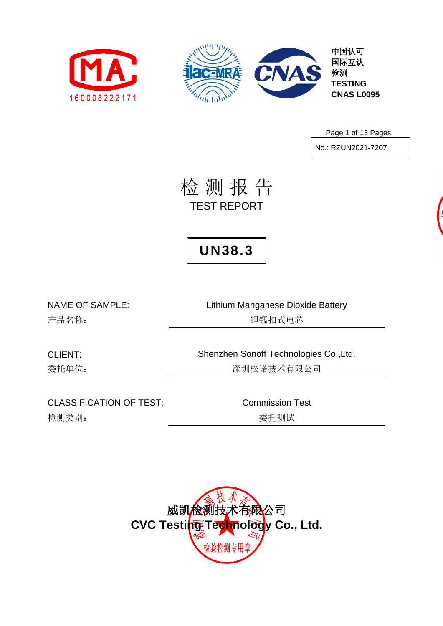



中国认可 国际互认 **TESTING CNAS L0095**

Page 1 of 13 Pages

No.: RZUN2021-7207

检 测 报 告 TEST REPORT

## **UN38.3**

NAME OF SAMPLE: Lithium Manganese Dioxide Battery 产品名称: 锂锰扣式电芯

CLIENT: Shenzhen Sonoff Technologies Co.,Ltd. 委托单位: 李林 医不可能的 医二十二次 医二次试验 医抗有限公司

CLASSIFICATION OF TEST: Commission Test 检测类别: **检测类别: 无关系** 

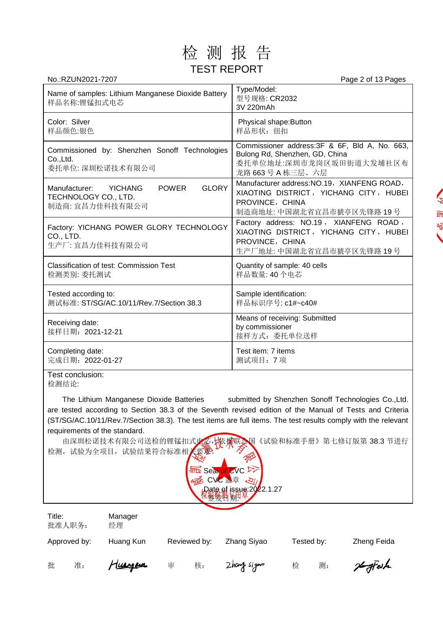

| No.:RZUN2021-7207                                                                                   | Page 2 of 13 Pages                                                                                                                    |
|-----------------------------------------------------------------------------------------------------|---------------------------------------------------------------------------------------------------------------------------------------|
| Name of samples: Lithium Manganese Dioxide Battery<br>样品名称:锂锰扣式电芯                                   | Type/Model:<br>型号规格: CR2032<br>3V 220mAh                                                                                              |
| Color: Silver<br>样品颜色:银色                                                                            | Physical shape: Button<br>样品形状: 纽扣                                                                                                    |
| Commissioned by: Shenzhen Sonoff Technologies<br>Co., Ltd.<br>委托单位: 深圳松诺技术有限公司                      | Commissioner address: 3F & 6F, Bld A, No. 663,<br>Bulong Rd, Shenzhen, GD, China<br>委托单位地址:深圳市龙岗区坂田街道大发埔社区布<br>龙路 663号 A 栋三层、六层       |
| <b>GLORY</b><br><b>POWER</b><br>Manufacturer:<br>YICHANG<br>TECHNOLOGY CO., LTD.<br>制造商: 宜昌力佳科技有限公司 | Manufacturer address: NO.19, XIANFENG ROAD,<br>XIAOTING DISTRICT, YICHANG CITY, HUBEI<br>PROVINCE, CHINA<br>制造商地址: 中国湖北省宜昌市猇亭区先锋路 19号 |
| Factory: YICHANG POWER GLORY TECHNOLOGY<br>CO., LTD.<br>生产厂: 宜昌力佳科技有限公司                             | Factory address: NO.19, XIANFENG ROAD,<br>XIAOTING DISTRICT, YICHANG CITY, HUBEI<br>PROVINCE, CHINA<br>生产厂地址: 中国湖北省宜昌市猇亭区先锋路 19号      |
| <b>Classification of test: Commission Test</b><br>检测类别: 委托测试                                        | Quantity of sample: 40 cells<br>样品数量: 40个电芯                                                                                           |
| Tested according to:<br>测试标准: ST/SG/AC.10/11/Rev.7/Section 38.3                                     | Sample identification:<br>样品标识序号: c1#~c40#                                                                                            |
| Receiving date:<br>接样日期: 2021-12-21                                                                 | Means of receiving: Submitted<br>by commissioner<br>接样方式: 委托单位送样                                                                      |
| Completing date:<br>完成日期: 2022-01-27                                                                | Test item: 7 items<br>测试项目: 7项                                                                                                        |

Test conclusion: 检测结论:

The Lithium Manganese Dioxide Batteries submitted by Shenzhen Sonoff Technologies Co.,Ltd. are tested according to Section 38.3 of the Seventh revised edition of the Manual of Tests and Criteria (ST/SG/AC.10/11/Rev.7/Section 38.3). The test items are full items. The test results comply with the relevant requirements of the standard.

由深圳松诺技术有限公司送检的锂锰扣式电芯, 林树联会国《试验和标准手册》第七修订版第 38.3 节进行 检测,试验为全项目,试验结果符合标准相关要求。



| Title:<br>批准人职务: | Manager<br>经理 |              |              |            |             |
|------------------|---------------|--------------|--------------|------------|-------------|
| Approved by:     | Huang Kun     | Reviewed by: | Zhang Siyao  | Tested by: | Zheng Feida |
| 批<br>准:          | Tuergen       | 核:<br>审      | Zhang siyono | 测:<br>检    | HomefFeith  |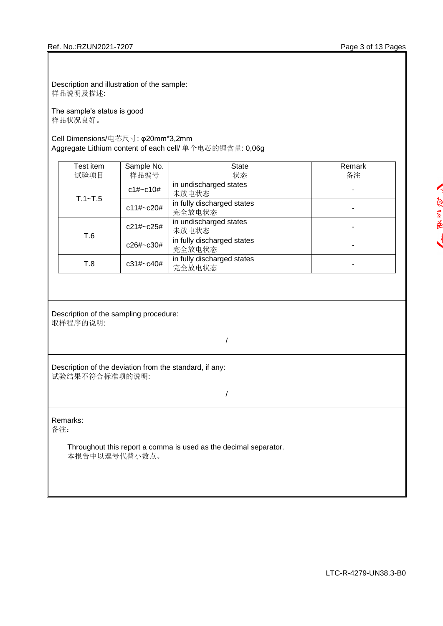Description and illustration of the sample: 样品说明及描述:

The sample's status is good 样品状况良好。

## Cell Dimensions/电芯尺寸: φ20mm\*3,2mm Aggregate Lithium content of each cell/ 单个电芯的锂含量: 0,06g

| Test item   | Sample No.    | State                                | Remark |
|-------------|---------------|--------------------------------------|--------|
| 试验项目        | 样品编号          | 状态                                   | 备注     |
|             | c1#~c10#      | in undischarged states<br>未放电状态      |        |
| $T.1 - T.5$ | $c11\# C20#$  | in fully discharged states<br>完全放电状态 |        |
|             | $c21\# C25\#$ | in undischarged states<br>未放电状态      |        |
| T.6         | c26#~c30#     | in fully discharged states<br>完全放电状态 |        |
| T.8         | $c31\# C40\#$ | in fully discharged states<br>完全放电状态 |        |

#### Description of the sampling procedure: 取样程序的说明:

/

Description of the deviation from the standard, if any: 试验结果不符合标准项的说明:

/

Remarks:

备注:

Throughout this report a comma is used as the decimal separator. 本报告中以逗号代替小数点。

K 罗之后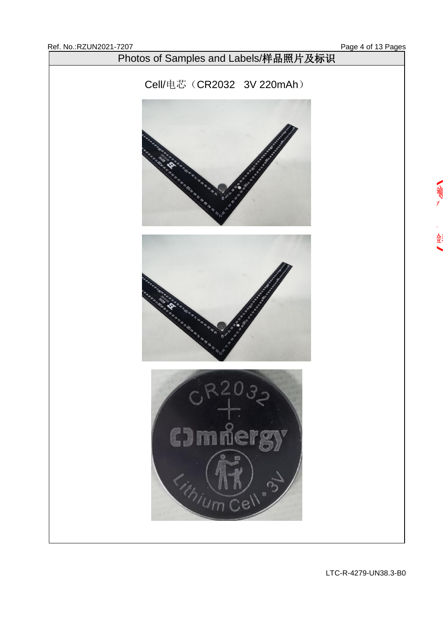金

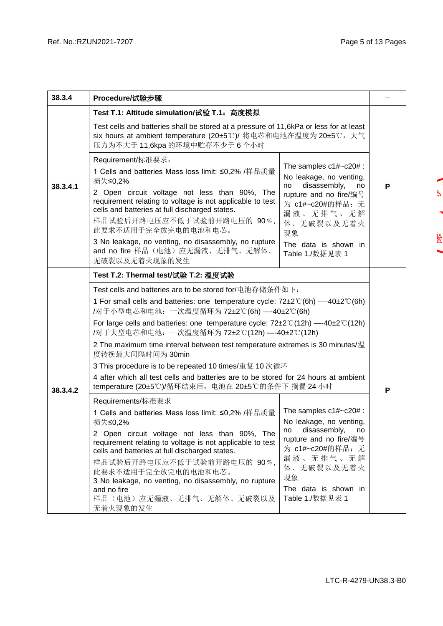$\mathbf{r}$ 

Š

捡

| 38.3.4   | Procedure/试验步骤                                                                                                                                                                                                                                                                                                                                                                                                                                                                                                                                                                                                                                                                                                     |                                                                                                                                                                                                             |  |  |  |  |  |  |  |
|----------|--------------------------------------------------------------------------------------------------------------------------------------------------------------------------------------------------------------------------------------------------------------------------------------------------------------------------------------------------------------------------------------------------------------------------------------------------------------------------------------------------------------------------------------------------------------------------------------------------------------------------------------------------------------------------------------------------------------------|-------------------------------------------------------------------------------------------------------------------------------------------------------------------------------------------------------------|--|--|--|--|--|--|--|
|          | Test T.1: Altitude simulation/试验 T.1: 高度模拟                                                                                                                                                                                                                                                                                                                                                                                                                                                                                                                                                                                                                                                                         |                                                                                                                                                                                                             |  |  |  |  |  |  |  |
| 38.3.4.1 | Test cells and batteries shall be stored at a pressure of 11,6kPa or less for at least<br>six hours at ambient temperature (20±5℃)/ 将电芯和电池在温度为 20±5℃, 大气<br>压力为不大于 11,6kpa 的环境中贮存不少于 6 个小时                                                                                                                                                                                                                                                                                                                                                                                                                                                                                                                         |                                                                                                                                                                                                             |  |  |  |  |  |  |  |
|          | Requirement/标准要求:<br>The samples $c1\#~c20\#$ :<br>1 Cells and batteries Mass loss limit: ≤0,2% /样品质量<br>No leakage, no venting,<br>损失≤0,2%<br>disassembly,<br>no<br>no<br>2 Open circuit voltage not less than 90%, The<br>rupture and no fire/编号<br>requirement relating to voltage is not applicable to test<br>为 c1#~c20#的样品: 无<br>cells and batteries at full discharged states.<br>漏液、无排气、无解<br>样品试验后开路电压应不低于试验前开路电压的 90%,<br>体、无破裂以及无着火<br>此要求不适用于完全放完电的电池和电芯。<br>现象<br>3 No leakage, no venting, no disassembly, no rupture<br>The data is shown in<br>and no fire 样品(电池)应无漏液、无排气、无解体、<br>Table 1./数据见表 1<br>无破裂以及无着火现象的发生                                                                                 |                                                                                                                                                                                                             |  |  |  |  |  |  |  |
|          | Test T.2: Thermal test/试验 T.2: 温度试验<br>Test cells and batteries are to be stored for/电池存储条件如下:<br>1 For small cells and batteries: one temperature cycle: $72\pm2\degree$ (6h) $-40\pm2\degree$ (6h)<br>/对于小型电芯和电池: 一次温度循环为 72±2℃(6h) —-40±2℃(6h)<br>For large cells and batteries: one temperature cycle: $72\pm2\degree C(12h)$ --40 $\pm2\degree C(12h)$<br>/对于大型电芯和电池: 一次温度循环为72±2℃(12h) —-40±2℃(12h)<br>2 The maximum time interval between test temperature extremes is 30 minutes/温<br>度转换最大间隔时间为30min<br>3 This procedure is to be repeated 10 times/重复 10 次循环<br>4 after which all test cells and batteries are to be stored for 24 hours at ambient<br>temperature (20±5℃)/循环结束后, 电池在 20±5℃的条件下 搁置 24 小时 |                                                                                                                                                                                                             |  |  |  |  |  |  |  |
|          | Requirements/标准要求<br>1 Cells and batteries Mass loss limit: ≤0,2% /样品质量<br>损失≤0,2%<br>2 Open circuit voltage not less than 90%, The<br>requirement relating to voltage is not applicable to test<br>cells and batteries at full discharged states.<br>样品试验后开路电压应不低于试验前开路电压的 90%,<br>此要求不适用于完全放完电的电池和电芯。<br>3 No leakage, no venting, no disassembly, no rupture<br>and no fire<br>样品(电池)应无漏液、无排气、无解体、无破裂以及<br>无着火现象的发生                                                                                                                                                                                                                                                                                             | The samples $c1\#~c20\#$ :<br>No leakage, no venting,<br>disassembly,<br>no<br>no<br>rupture and no fire/编号<br>为 c1#~c20#的样品: 无<br>漏液、无排气、无解<br>体、无破裂以及无着火<br>现象<br>The data is shown in<br>Table 1./数据见表 1 |  |  |  |  |  |  |  |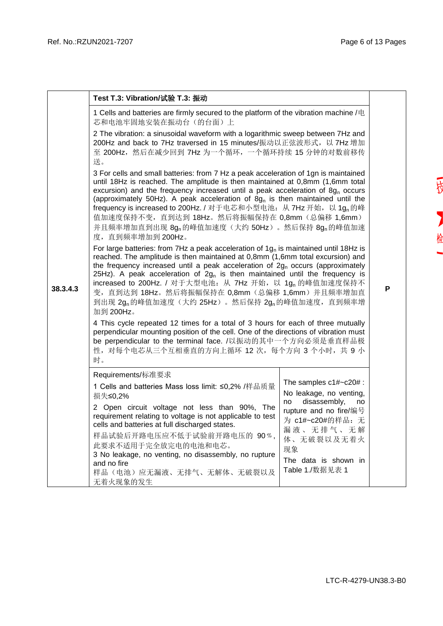|          | Test T.3: Vibration/试验 T.3: 振动                                                                                                                                                                                                                                                                                                                                                                                                                                                                                                                               |                                                                                   |  |  |  |  |  |  |  |
|----------|--------------------------------------------------------------------------------------------------------------------------------------------------------------------------------------------------------------------------------------------------------------------------------------------------------------------------------------------------------------------------------------------------------------------------------------------------------------------------------------------------------------------------------------------------------------|-----------------------------------------------------------------------------------|--|--|--|--|--|--|--|
|          | 1 Cells and batteries are firmly secured to the platform of the vibration machine /电<br>芯和电池牢固地安装在振动台(的台面)上                                                                                                                                                                                                                                                                                                                                                                                                                                                  |                                                                                   |  |  |  |  |  |  |  |
|          | 2 The vibration: a sinusoidal waveform with a logarithmic sweep between 7Hz and<br>200Hz and back to 7Hz traversed in 15 minutes/振动以正弦波形式, 以 7Hz 增加<br>至 200Hz, 然后在减少回到 7Hz 为一个循环, 一个循环持续 15 分钟的对数前移传<br>送。                                                                                                                                                                                                                                                                                                                                                  |                                                                                   |  |  |  |  |  |  |  |
|          | 3 For cells and small batteries: from 7 Hz a peak acceleration of 1gn is maintained<br>until 18Hz is reached. The amplitude is then maintained at 0,8mm (1,6mm total<br>excursion) and the frequency increased until a peak acceleration of 8g <sub>n</sub> occurs<br>(approximately 50Hz). A peak acceleration of $8gn$ is then maintained until the<br>frequency is increased to 200Hz. / 对于电芯和小型电池: 从 7Hz 开始, 以 1gn 的峰<br>值加速度保持不变, 直到达到 18Hz。然后将振幅保持在 0,8mm (总偏移 1,6mm)<br>并且频率增加直到出现 8g <sub>n</sub> 的峰值加速度(大约 50Hz)。然后保持 8gn的峰值加速<br>度, 直到频率增加到 200Hz。 |                                                                                   |  |  |  |  |  |  |  |
| 38.3.4.3 | For large batteries: from 7Hz a peak acceleration of $1g_n$ is maintained until 18Hz is<br>reached. The amplitude is then maintained at 0,8mm (1,6mm total excursion) and<br>the frequency increased until a peak acceleration of $2gn$ occurs (approximately<br>25Hz). A peak acceleration of $2g_n$ is then maintained until the frequency is<br>increased to 200Hz. / 对于大型电池: 从 7Hz 开始, 以 1g, 的峰值加速度保持不<br>变,直到达到 18Hz。然后将振幅保持在 0,8mm(总偏移 1,6mm)并且频率增加直<br>到出现 2g <sub>n</sub> 的峰值加速度(大约 25Hz)。然后保持 2g <sub>n</sub> 的峰值加速度, 直到频率增<br>加到 200Hz。            |                                                                                   |  |  |  |  |  |  |  |
|          | 4 This cycle repeated 12 times for a total of 3 hours for each of three mutually<br>perpendicular mounting position of the cell. One of the directions of vibration must<br>be perpendicular to the terminal face. /以振动的其中一个方向必须是垂直样品极<br>性, 对每个电芯从三个互相垂直的方向上循环 12 次, 每个方向 3 个小时, 共 9 小<br>时。                                                                                                                                                                                                                                                                |                                                                                   |  |  |  |  |  |  |  |
|          | Requirements/标准要求                                                                                                                                                                                                                                                                                                                                                                                                                                                                                                                                            |                                                                                   |  |  |  |  |  |  |  |
|          | 1 Cells and batteries Mass loss limit: ≤0,2% /样品质量<br>损失≤0,2%                                                                                                                                                                                                                                                                                                                                                                                                                                                                                                | The samples $c1\#~c20\#$ :<br>No leakage, no venting,<br>disassembly,<br>no<br>no |  |  |  |  |  |  |  |
|          | 2 Open circuit voltage not less than 90%, The<br>requirement relating to voltage is not applicable to test<br>cells and batteries at full discharged states.                                                                                                                                                                                                                                                                                                                                                                                                 | rupture and no fire/编号<br>为 c1#~c20#的样品: 无<br>漏液、无排气、无解                           |  |  |  |  |  |  |  |
|          | 样品试验后开路电压应不低于试验前开路电压的 90%,<br>此要求不适用于完全放完电的电池和电芯。<br>3 No leakage, no venting, no disassembly, no rupture                                                                                                                                                                                                                                                                                                                                                                                                                                                    | 体、无破裂以及无着火<br>现象                                                                  |  |  |  |  |  |  |  |
|          | and no fire<br>样品(电池)应无漏液、无排气、无解体、无破裂以及<br>无着火现象的发生                                                                                                                                                                                                                                                                                                                                                                                                                                                                                                          | The data is shown in<br>Table 1./数据见表 1                                           |  |  |  |  |  |  |  |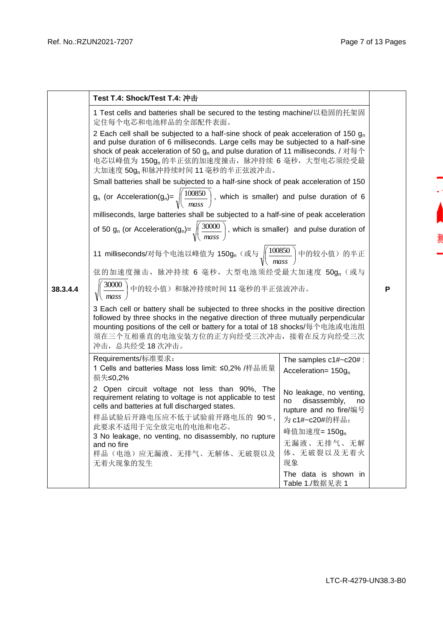测

|          | Test T.4: Shock/Test T.4: 冲击                                                                                                                                                                                                                                                                                                                                                 |                                                                               |  |  |  |  |  |  |  |
|----------|------------------------------------------------------------------------------------------------------------------------------------------------------------------------------------------------------------------------------------------------------------------------------------------------------------------------------------------------------------------------------|-------------------------------------------------------------------------------|--|--|--|--|--|--|--|
|          | 1 Test cells and batteries shall be secured to the testing machine/以稳固的托架固<br>定住每个电芯和电池样品的全部配件表面。                                                                                                                                                                                                                                                                            |                                                                               |  |  |  |  |  |  |  |
|          | 2 Each cell shall be subjected to a half-sine shock of peak acceleration of 150 $g_n$<br>and pulse duration of 6 milliseconds. Large cells may be subjected to a half-sine<br>shock of peak acceleration of 50 $g_n$ and pulse duration of 11 milliseconds. / 对每个<br>电芯以峰值为 150g <sub>n</sub> 的半正弦的加速度撞击, 脉冲持续 6 毫秒, 大型电芯须经受最<br>大加速度 50g <sub>n</sub> 和脉冲持续时间 11 毫秒的半正弦波冲击。 |                                                                               |  |  |  |  |  |  |  |
|          | Small batteries shall be subjected to a half-sine shock of peak acceleration of 150                                                                                                                                                                                                                                                                                          |                                                                               |  |  |  |  |  |  |  |
|          | $g_n$ (or Acceleration(g <sub>n</sub> )= $\sqrt{\frac{100850}{mass}}$ , which is smaller) and pulse duration of 6                                                                                                                                                                                                                                                            |                                                                               |  |  |  |  |  |  |  |
|          | milliseconds, large batteries shall be subjected to a half-sine of peak acceleration                                                                                                                                                                                                                                                                                         |                                                                               |  |  |  |  |  |  |  |
|          | of 50 g <sub>n</sub> (or Acceleration(g <sub>n</sub> )= $\sqrt{\left(\frac{30000}{mass}\right)}$ , which is smaller) and pulse duration of                                                                                                                                                                                                                                   |                                                                               |  |  |  |  |  |  |  |
|          | 11 milliseconds/对每个电池以峰值为 150g, (或与 $\sqrt{\frac{100850}{mass}}$ )中的较小值) 的半正                                                                                                                                                                                                                                                                                                 |                                                                               |  |  |  |  |  |  |  |
|          | 弦的加速度撞击, 脉冲持续 6 毫秒, 大型电池须经受最大加速度 50g, (或与                                                                                                                                                                                                                                                                                                                                    |                                                                               |  |  |  |  |  |  |  |
| 38.3.4.4 | $\frac{1}{2}$ 30000 中的较小值) 和脉冲持续时间 11 毫秒的半正弦波冲击。                                                                                                                                                                                                                                                                                                                             |                                                                               |  |  |  |  |  |  |  |
|          | 3 Each cell or battery shall be subjected to three shocks in the positive direction<br>followed by three shocks in the negative direction of three mutually perpendicular<br>mounting positions of the cell or battery for a total of 18 shocks/每个电池或电池组<br>须在三个互相垂直的电池安装方位的正方向经受三次冲击, 接着在反方向经受三次<br>冲击, 总共经受18次冲击。                                                          |                                                                               |  |  |  |  |  |  |  |
|          | Requirements/标准要求:<br>1 Cells and batteries Mass loss limit: ≤0,2% /样品质量<br>损失≤0,2%                                                                                                                                                                                                                                                                                          | The samples $c1\#$ ~ $c20\#$ :<br>Acceleration= $150g_n$                      |  |  |  |  |  |  |  |
|          | 2 Open circuit voltage not less than 90%, The<br>requirement relating to voltage is not applicable to test<br>cells and batteries at full discharged states.                                                                                                                                                                                                                 | No leakage, no venting,<br>disassembly,<br>no<br>no<br>rupture and no fire/编号 |  |  |  |  |  |  |  |
|          | 样品试验后开路电压应不低于试验前开路电压的 90%,                                                                                                                                                                                                                                                                                                                                                   | 为 c1#~c20#的样品:                                                                |  |  |  |  |  |  |  |
|          | 此要求不适用于完全放完电的电池和电芯。<br>3 No leakage, no venting, no disassembly, no rupture                                                                                                                                                                                                                                                                                                  | 峰值加速度= 150g <sub>n</sub>                                                      |  |  |  |  |  |  |  |
|          | and no fire                                                                                                                                                                                                                                                                                                                                                                  | 无漏液、无排气、无解                                                                    |  |  |  |  |  |  |  |
|          | 样品(电池)应无漏液、无排气、无解体、无破裂以及<br>无着火现象的发生                                                                                                                                                                                                                                                                                                                                         | 体、无破裂以及无着火<br>现象                                                              |  |  |  |  |  |  |  |
|          |                                                                                                                                                                                                                                                                                                                                                                              | The data is shown in<br>Table 1./数据见表 1                                       |  |  |  |  |  |  |  |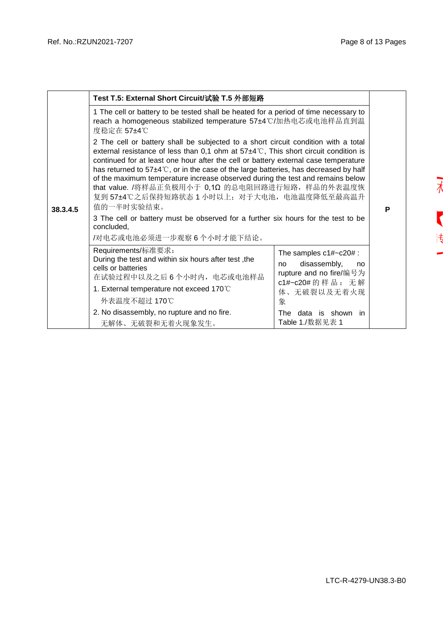$\overline{\lambda}$ 

 $\overline{\mathbf{r}}$ 

 $|\frac{4}{3}\rangle$ 

|          | Test T.5: External Short Circuit/试验 T.5 外部短路                                                                                                                                                                                                                                                                                                                                                                                                                                                                                                                           |                                                                                                      |  |  |  |  |  |  |  |
|----------|------------------------------------------------------------------------------------------------------------------------------------------------------------------------------------------------------------------------------------------------------------------------------------------------------------------------------------------------------------------------------------------------------------------------------------------------------------------------------------------------------------------------------------------------------------------------|------------------------------------------------------------------------------------------------------|--|--|--|--|--|--|--|
|          | 1 The cell or battery to be tested shall be heated for a period of time necessary to<br>reach a homogeneous stabilized temperature 57±4°C/加热电芯或电池样品直到温<br>度稳定在 57±4℃                                                                                                                                                                                                                                                                                                                                                                                                   |                                                                                                      |  |  |  |  |  |  |  |
| 38.3.4.5 | 2 The cell or battery shall be subjected to a short circuit condition with a total<br>external resistance of less than 0,1 ohm at $57\pm4\degree$ C, This short circuit condition is<br>continued for at least one hour after the cell or battery external case temperature<br>has returned to 57±4°C, or in the case of the large batteries, has decreased by half<br>of the maximum temperature increase observed during the test and remains below<br>that value. /将样品正负极用小于 0,1Ω 的总电阻回路进行短路, 样品的外表温度恢<br>复到 57±4℃之后保持短路状态 1 小时以上; 对于大电池, 电池温度降低至最高温升<br>值的一半时实验结束。 |                                                                                                      |  |  |  |  |  |  |  |
|          | 3 The cell or battery must be observed for a further six hours for the test to be<br>concluded,<br>/对电芯或电池必须进一步观察6个小时才能下结论。                                                                                                                                                                                                                                                                                                                                                                                                                                            |                                                                                                      |  |  |  |  |  |  |  |
|          | Requirements/标准要求:<br>During the test and within six hours after test, the<br>cells or batteries<br>在试验过程中以及之后6个小时内, 电芯或电池样品                                                                                                                                                                                                                                                                                                                                                                                                                                           | The samples $c1\#~c20\#$ :<br>disassembly,<br>no<br>no<br>rupture and no fire/编号为<br>c1#~c20#的样品: 无解 |  |  |  |  |  |  |  |
|          | 1. External temperature not exceed 170°C<br>外表温度不超过 170℃                                                                                                                                                                                                                                                                                                                                                                                                                                                                                                               | 体、无破裂以及无着火现<br>象                                                                                     |  |  |  |  |  |  |  |
|          | 2. No disassembly, no rupture and no fire.<br>无解体、无破裂和无着火现象发生。                                                                                                                                                                                                                                                                                                                                                                                                                                                                                                         | The data is shown in<br>Table 1./数据见表 1                                                              |  |  |  |  |  |  |  |

LTC-R-4279-UN38.3-B0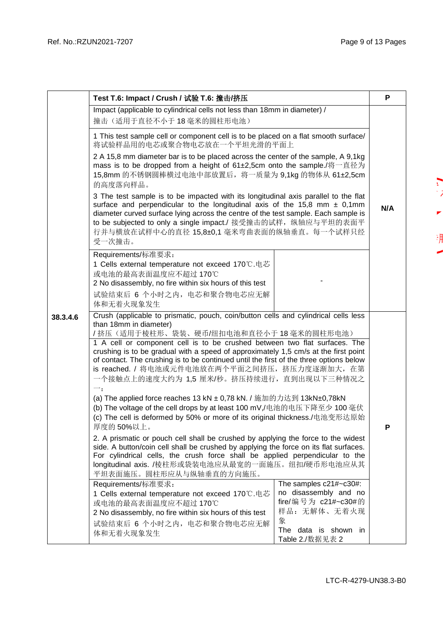$\sum_{i=1}^{n}$ 

 $\blacksquare$ 

渊

|          |                                                                                                                                                                                                                                                                                                                                                                                             |                                                                                        | P |  |  |  |  |
|----------|---------------------------------------------------------------------------------------------------------------------------------------------------------------------------------------------------------------------------------------------------------------------------------------------------------------------------------------------------------------------------------------------|----------------------------------------------------------------------------------------|---|--|--|--|--|
|          | Test T.6: Impact / Crush / 试验 T.6: 撞击/挤压<br>Impact (applicable to cylindrical cells not less than 18mm in diameter) /                                                                                                                                                                                                                                                                       |                                                                                        |   |  |  |  |  |
|          | 撞击(适用于直径不小于18毫米的圆柱形电池)                                                                                                                                                                                                                                                                                                                                                                      |                                                                                        |   |  |  |  |  |
|          | 1 This test sample cell or component cell is to be placed on a flat smooth surface/<br>将试验样品用的电芯或聚合物电芯放在一个平坦光滑的平面上                                                                                                                                                                                                                                                                          |                                                                                        |   |  |  |  |  |
|          | 2 A 15,8 mm diameter bar is to be placed across the center of the sample, A 9,1kg<br>mass is to be dropped from a height of 61±2,5cm onto the sample./将一直径为<br>15,8mm 的不锈钢圆棒横过电池中部放置后, 将一质量为 9,1kg 的物体从 61±2,5cm<br>的高度落向样品。                                                                                                                                                                |                                                                                        |   |  |  |  |  |
|          | 3 The test sample is to be impacted with its longitudinal axis parallel to the flat<br>surface and perpendicular to the longitudinal axis of the 15,8 mm $\pm$ 0,1mm<br>diameter curved surface lying across the centre of the test sample. Each sample is<br>to be subjected to only a single impact./ 接受撞击的试样, 纵轴应与平坦的表面平<br>行并与横放在试样中心的直径 15,8±0,1 毫米弯曲表面的纵轴垂直。每一个试样只经<br>受一次撞击。         |                                                                                        |   |  |  |  |  |
|          | Requirements/标准要求:<br>1 Cells external temperature not exceed 170 ℃ 电芯<br>或电池的最高表面温度应不超过170℃<br>2 No disassembly, no fire within six hours of this test                                                                                                                                                                                                                                     |                                                                                        |   |  |  |  |  |
|          | 试验结束后 6 个小时之内, 电芯和聚合物电芯应无解<br>体和无着火现象发生                                                                                                                                                                                                                                                                                                                                                     |                                                                                        |   |  |  |  |  |
| 38.3.4.6 | Crush (applicable to prismatic, pouch, coin/button cells and cylindrical cells less<br>than 18mm in diameter)<br>/挤压(适用于棱柱形、袋装、硬币/纽扣电池和直径小于18毫米的圆柱形电池)                                                                                                                                                                                                                                      |                                                                                        |   |  |  |  |  |
|          | 1 A cell or component cell is to be crushed between two flat surfaces. The<br>crushing is to be gradual with a speed of approximately 1,5 cm/s at the first point<br>of contact. The crushing is to be continued until the first of the three options below<br>is reached. / 将电池或元件电池放在两个平面之间挤压, 挤压力度逐渐加大, 在第<br>一个接触点上的速度大约为 1,5 厘米/秒。挤压持续进行, 直到出现以下三种情况之<br>$\mathord{\rightharpoonup}$ : |                                                                                        |   |  |  |  |  |
|          | (a) The applied force reaches 13 kN ± 0,78 kN. / 施加的力达到 13kN±0,78kN<br>(b) The voltage of the cell drops by at least 100 mV,/电池的电压下降至少 100 毫伏<br>(c) The cell is deformed by 50% or more of its original thickness./电池变形达原始<br>厚度的50%以上。                                                                                                                                                    |                                                                                        | P |  |  |  |  |
|          | 2. A prismatic or pouch cell shall be crushed by applying the force to the widest<br>side. A button/coin cell shall be crushed by applying the force on its flat surfaces.<br>For cylindrical cells, the crush force shall be applied perpendicular to the<br>longitudinal axis. /棱柱形或袋装电池应从最宽的一面施压。纽扣/硬币形电池应从其                                                                             |                                                                                        |   |  |  |  |  |
|          | Requirements/标准要求:<br>1 Cells external temperature not exceed 170℃.电芯<br>或电池的最高表面温度应不超过 170℃<br>2 No disassembly, no fire within six hours of this test                                                                                                                                                                                                                                     | The samples c21#~c30#:<br>no disassembly and no<br>fire/编号为 c21#~c30#的<br>样品: 无解体、无着火现 |   |  |  |  |  |
|          | 试验结束后 6 个小时之内, 电芯和聚合物电芯应无解<br>体和无着火现象发生                                                                                                                                                                                                                                                                                                                                                     | 象<br>The data is shown in<br>Table 2./数据见表 2                                           |   |  |  |  |  |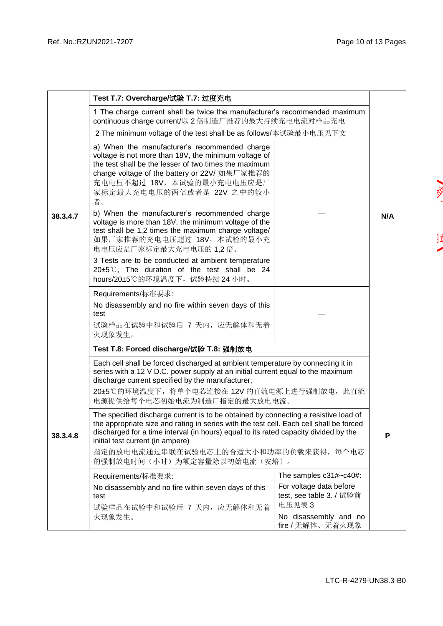|          | Test T.7: Overcharge/试验 T.7: 过度充电                                                                                                                                                                                                                                                                                                                                                  |                                                               |     |  |  |  |  |  |  |
|----------|------------------------------------------------------------------------------------------------------------------------------------------------------------------------------------------------------------------------------------------------------------------------------------------------------------------------------------------------------------------------------------|---------------------------------------------------------------|-----|--|--|--|--|--|--|
| 38.3.4.7 | 1 The charge current shall be twice the manufacturer's recommended maximum<br>continuous charge current/以 2 倍制造厂推荐的最大持续充电电流对样品充电                                                                                                                                                                                                                                                   |                                                               |     |  |  |  |  |  |  |
|          | 2 The minimum voltage of the test shall be as follows/本试验最小电压见下文                                                                                                                                                                                                                                                                                                                   |                                                               |     |  |  |  |  |  |  |
|          | a) When the manufacturer's recommended charge<br>voltage is not more than 18V, the minimum voltage of<br>the test shall be the lesser of two times the maximum<br>charge voltage of the battery or 22V/ 如果厂家推荐的<br>充电电压不超过 18V, 本试验的最小充电电压应是厂<br>家标定最大充电电压的两倍或者是 22V 之中的较小<br>者。                                                                                                   |                                                               |     |  |  |  |  |  |  |
|          | b) When the manufacturer's recommended charge<br>voltage is more than 18V, the minimum voltage of the<br>test shall be 1,2 times the maximum charge voltage/<br>如果厂家推荐的充电电压超过 18V, 本试验的最小充<br>电电压应是厂家标定最大充电电压的 1,2 倍。                                                                                                                                                              |                                                               | N/A |  |  |  |  |  |  |
|          | 3 Tests are to be conducted at ambient temperature<br>20±5℃, The duration of the test shall be 24<br>hours/20±5℃的环境温度下, 试验持续 24 小时。                                                                                                                                                                                                                                                |                                                               |     |  |  |  |  |  |  |
|          | Requirements/标准要求:<br>No disassembly and no fire within seven days of this<br>test<br>试验样品在试验中和试验后 7 天内, 应无解体和无着<br>火现象发生。                                                                                                                                                                                                                                                         |                                                               |     |  |  |  |  |  |  |
|          | Test T.8: Forced discharge/试验 T.8: 强制放电                                                                                                                                                                                                                                                                                                                                            |                                                               |     |  |  |  |  |  |  |
|          | Each cell shall be forced discharged at ambient temperature by connecting it in<br>series with a 12 V D.C. power supply at an initial current equal to the maximum<br>discharge current specified by the manufacturer,<br>20±5℃的环境温度下, 将单个电芯连接在 12V 的直流电源上进行强制放电, 此直流<br>电源提供给每个电芯初始电流为制造厂指定的最大放电电流。                                                                               |                                                               |     |  |  |  |  |  |  |
| 38.3.4.8 | The specified discharge current is to be obtained by connecting a resistive load of<br>the appropriate size and rating in series with the test cell. Each cell shall be forced<br>discharged for a time interval (in hours) equal to its rated capacity divided by the<br>initial test current (in ampere)<br>指定的放电电流通过串联在试验电芯上的合适大小和功率的负载来获得, 每个电芯<br>的强制放电时间(小时)为额定容量除以初始电流(安培)。 |                                                               |     |  |  |  |  |  |  |
|          | Requirements/标准要求:                                                                                                                                                                                                                                                                                                                                                                 | The samples c31#~c40#:                                        |     |  |  |  |  |  |  |
|          | No disassembly and no fire within seven days of this<br>test<br>试验样品在试验中和试验后 7 天内, 应无解体和无着                                                                                                                                                                                                                                                                                         | For voltage data before<br>test, see table 3. / 试验前<br>电压见表 3 |     |  |  |  |  |  |  |
|          | 火现象发生。                                                                                                                                                                                                                                                                                                                                                                             | No disassembly and no<br>fire / 无解体、无着火现象                     |     |  |  |  |  |  |  |

**VAN** 

 $\begin{array}{c} 1 \\ 1 \end{array}$  $\overline{\phantom{a}}$ 

LTC-R-4279-UN38.3-B0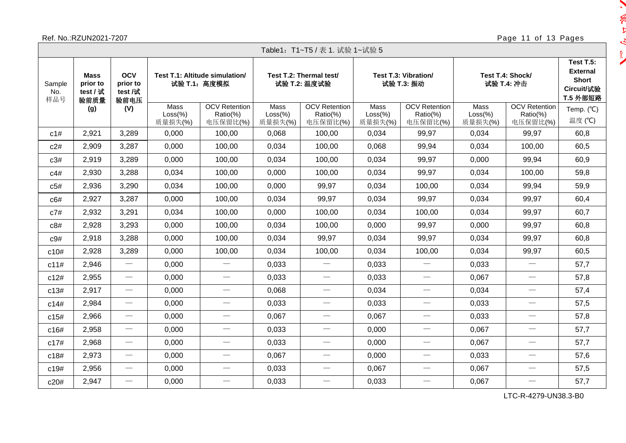## Ref. No.:RZUN2021-7207 Page 11 of 13 Pages

 $\ddot{\phantom{0}}$ 

 $\sim -10$ 

 $\frac{1}{\sqrt{2}}$ 

|                      | Table1: T1~T5 / 表 1. 试验 1~试验 5                                                                                                             |                                 |                              |                                              |                              |                                              |                              |                                              |                              |                                              |                               |  |  |
|----------------------|--------------------------------------------------------------------------------------------------------------------------------------------|---------------------------------|------------------------------|----------------------------------------------|------------------------------|----------------------------------------------|------------------------------|----------------------------------------------|------------------------------|----------------------------------------------|-------------------------------|--|--|
| Sample<br>No.<br>样品号 | <b>OCV</b><br>Test T.1: Altitude simulation/<br><b>Mass</b><br>prior to<br>prior to<br>试验 T.1: 高度模拟<br>test /试<br>test / 试<br>验前质量<br>验前电压 |                                 |                              | Test T.2: Thermal test/<br>试验 T.2: 温度试验      |                              | Test T.3: Vibration/<br>试验 T.3: 振动           |                              | Test T.4: Shock/<br>试验 T.4: 冲击               |                              |                                              |                               |  |  |
|                      | (g)                                                                                                                                        | (V)                             | Mass<br>$Loss$ %)<br>质量损失(%) | <b>OCV</b> Retention<br>Ratio(%)<br>电压保留比(%) | Mass<br>$Loss$ %)<br>质量损失(%) | <b>OCV</b> Retention<br>Ratio(%)<br>电压保留比(%) | Mass<br>$Loss$ %)<br>质量损失(%) | <b>OCV</b> Retention<br>Ratio(%)<br>电压保留比(%) | Mass<br>$Loss$ %)<br>质量损失(%) | <b>OCV</b> Retention<br>Ratio(%)<br>电压保留比(%) | Temp. $(^{\circ}C)$<br>温度 (℃) |  |  |
| c1#                  | 2,921                                                                                                                                      | 3,289                           | 0,000                        | 100,00                                       | 0,068                        | 100,00                                       | 0,034                        | 99,97                                        | 0,034                        | 99,97                                        | 60,8                          |  |  |
| c2#                  | 2,909                                                                                                                                      | 3,287                           | 0,000                        | 100,00                                       | 0,034                        | 100,00                                       | 0,068                        | 99,94                                        | 0,034                        | 100,00                                       | 60,5                          |  |  |
| c3#                  | 2,919                                                                                                                                      | 3,289                           | 0,000                        | 100,00                                       | 0,034                        | 100,00                                       | 0,034                        | 99,97                                        | 0,000                        | 99,94                                        | 60,9                          |  |  |
| C4#                  | 2,930                                                                                                                                      | 3,288                           | 0,034                        | 100,00                                       | 0,000                        | 100,00                                       | 0,034                        | 99,97                                        | 0,034                        | 100,00                                       | 59,8                          |  |  |
| c5#                  | 2,936                                                                                                                                      | 3,290                           | 0.034                        | 100,00                                       | 0,000                        | 99,97                                        | 0,034                        | 100,00                                       | 0,034                        | 99,94                                        | 59,9                          |  |  |
| c6#                  | 2,927                                                                                                                                      | 3,287                           | 0,000                        | 100,00                                       | 0,034                        | 99,97                                        | 0,034                        | 99,97                                        | 0,034                        | 99,97                                        | 60,4                          |  |  |
| c7#                  | 2,932                                                                                                                                      | 3,291                           | 0,034                        | 100,00                                       | 0,000                        | 100,00                                       | 0,034                        | 100,00                                       | 0,034                        | 99,97                                        | 60,7                          |  |  |
| c8#                  | 2,928                                                                                                                                      | 3,293                           | 0,000                        | 100,00                                       | 0,034                        | 100,00                                       | 0,000                        | 99,97                                        | 0,000                        | 99,97                                        | 60,8                          |  |  |
| c9#                  | 2,918                                                                                                                                      | 3,288                           | 0,000                        | 100,00                                       | 0,034                        | 99,97                                        | 0,034                        | 99,97                                        | 0,034                        | 99,97                                        | 60,8                          |  |  |
| c10#                 | 2,928                                                                                                                                      | 3,289                           | 0,000                        | 100,00                                       | 0,034                        | 100,00                                       | 0,034                        | 100,00                                       | 0,034                        | 99,97                                        | 60,5                          |  |  |
| c11#                 | 2,946                                                                                                                                      |                                 | 0,000                        | $\overline{\phantom{m}}$                     | 0,033                        |                                              | 0,033                        | $\overline{\phantom{m}}$                     | 0,033                        |                                              | 57,7                          |  |  |
| c12#                 | 2,955                                                                                                                                      | $\qquad \qquad -$               | 0,000                        | $\overline{\phantom{m}}$                     | 0,033                        |                                              | 0,033                        | $\overline{\phantom{m}}$                     | 0,067                        | $\overline{\phantom{m}}$                     | 57,8                          |  |  |
| c13#                 | 2,917                                                                                                                                      | $\overbrace{\qquad \qquad }^{}$ | 0,000                        | $\hspace{0.05cm}$                            | 0,068                        |                                              | 0,034                        |                                              | 0,034                        |                                              | 57,4                          |  |  |
| c14#                 | 2,984                                                                                                                                      |                                 | 0,000                        | $\overline{\phantom{m}}$                     | 0,033                        |                                              | 0,033                        | $\overbrace{\qquad \qquad }^{}$              | 0.033                        | $\overline{\phantom{0}}$                     | 57,5                          |  |  |
| c15#                 | 2,966                                                                                                                                      |                                 | 0,000                        | $\hspace{0.05cm}$                            | 0,067                        |                                              | 0,067                        | $\overline{\phantom{m}}$                     | 0,033                        |                                              | 57,8                          |  |  |
| c16#                 | 2,958                                                                                                                                      |                                 | 0,000                        | $\overline{\phantom{m}}$                     | 0,033                        |                                              | 0,000                        | $\overline{\phantom{0}}$                     | 0,067                        | $\overbrace{\phantom{12333}}$                | 57,7                          |  |  |
| c17#                 | 2,968                                                                                                                                      | $\overline{\phantom{0}}$        | 0,000                        | $\hspace{0.05cm}$                            | 0,033                        | $\hspace{0.1mm}-\hspace{0.1mm}$              | 0,000                        | $\overline{\phantom{m}}$                     | 0,067                        | $\overline{\phantom{0}}$                     | 57,7                          |  |  |
| c18#                 | 2,973                                                                                                                                      |                                 | 0,000                        | $\hspace{0.05cm}$                            | 0,067                        | $\overbrace{\phantom{13333}}$                | 0,000                        |                                              | 0,033                        | $\overbrace{\phantom{13333}}$                | 57,6                          |  |  |
| c19#                 | 2,956                                                                                                                                      | $\overbrace{\qquad \qquad }^{}$ | 0,000                        |                                              | 0,033                        |                                              | 0,067                        | $\overline{\phantom{m}}$                     | 0,067                        | $\overbrace{\phantom{12333}}$                | 57,5                          |  |  |
| c20#                 | 2,947                                                                                                                                      | $\hspace{0.1mm}-\hspace{0.1mm}$ | 0,000                        | $\overline{\phantom{m}}$                     | 0,033                        |                                              | 0,033                        |                                              | 0,067                        | $\overline{\phantom{0}}$                     | 57,7                          |  |  |

LTC-R-4279-UN38.3-B0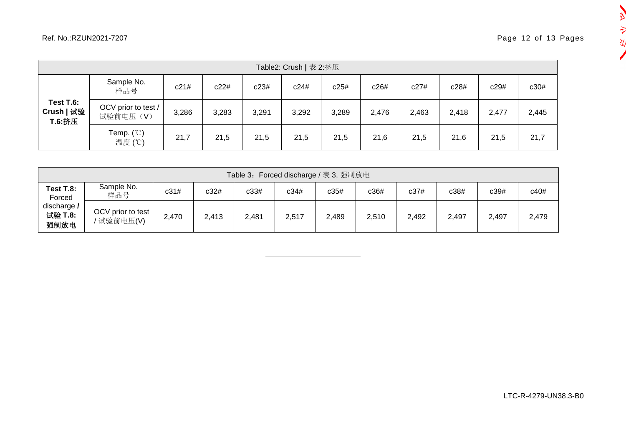一点

 $\frac{1}{2}$ 丒 

| Table2: Crush   表 2:挤压            |                                      |       |       |       |       |       |       |       |       |       |       |  |
|-----------------------------------|--------------------------------------|-------|-------|-------|-------|-------|-------|-------|-------|-------|-------|--|
|                                   | Sample No.<br>样品号                    | c21#  | c22#  | c23#  | c24#  | c25#  | c26#  | c27#  | c28#  | c29#  | c30#  |  |
| Test T.6:<br>Crush   试验<br>T.6:挤压 | OCV prior to test /<br>试验前电压(V)      | 3,286 | 3,283 | 3,291 | 3,292 | 3,289 | 2,476 | 2,463 | 2,418 | 2,477 | 2,445 |  |
|                                   | Temp. $(^\circ\mathbb{C})$<br>温度 (℃) | 21,7  | 21,5  | 21,5  | 21,5  | 21,5  | 21,6  | 21,5  | 21,6  | 21,5  | 21,7  |  |

| Table 3: Forced discharge / 表 3. 强制放电 |                                 |       |       |       |       |       |       |       |       |       |       |  |  |
|---------------------------------------|---------------------------------|-------|-------|-------|-------|-------|-------|-------|-------|-------|-------|--|--|
| Test T.8:<br>Forced                   | Sample No.<br>样品号               | c31#  | c32#  | c33#  | c34#  | c35#  | c36#  | c37#  | c38#  | c39#  | c40#  |  |  |
| discharge /<br>试验 T.8:<br>强制放电        | OCV prior to test<br>' 试验前电压(V) | 2,470 | 2,413 | 2,481 | 2,517 | 2,489 | 2,510 | 2,492 | 2,497 | 2,497 | 2,479 |  |  |